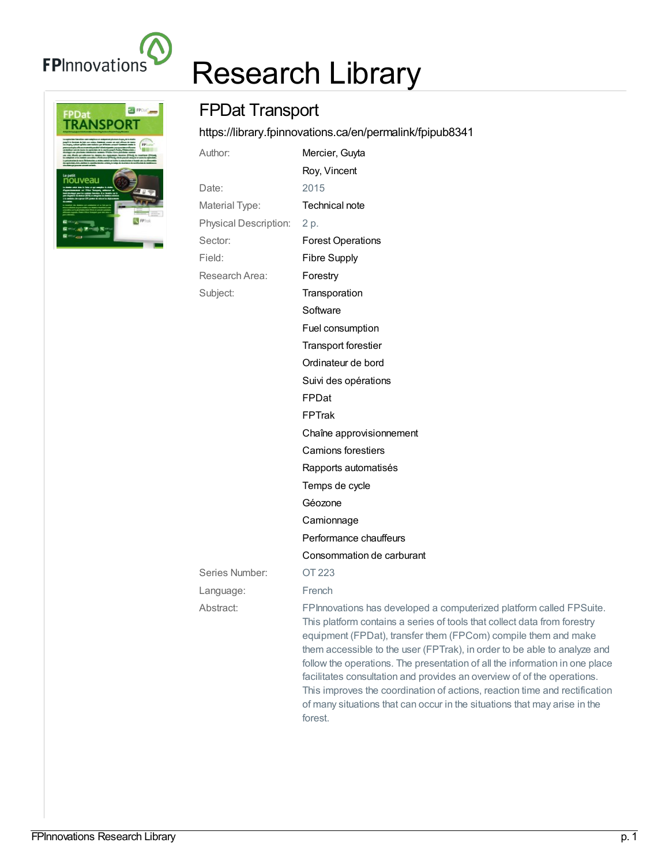

## Research Library



## FPDat Transport

<https://library.fpinnovations.ca/en/permalink/fpipub8341>

| Author:                      | Mercier, Guyta                                                                                                                                                                                                                                                                                                                                                                                                                                                                                                                                                                                                                |
|------------------------------|-------------------------------------------------------------------------------------------------------------------------------------------------------------------------------------------------------------------------------------------------------------------------------------------------------------------------------------------------------------------------------------------------------------------------------------------------------------------------------------------------------------------------------------------------------------------------------------------------------------------------------|
|                              | Roy, Vincent                                                                                                                                                                                                                                                                                                                                                                                                                                                                                                                                                                                                                  |
| Date:                        | 2015                                                                                                                                                                                                                                                                                                                                                                                                                                                                                                                                                                                                                          |
| Material Type:               | Technical note                                                                                                                                                                                                                                                                                                                                                                                                                                                                                                                                                                                                                |
| <b>Physical Description:</b> | 2 p.                                                                                                                                                                                                                                                                                                                                                                                                                                                                                                                                                                                                                          |
| Sector:                      | <b>Forest Operations</b>                                                                                                                                                                                                                                                                                                                                                                                                                                                                                                                                                                                                      |
| Field:                       | <b>Fibre Supply</b>                                                                                                                                                                                                                                                                                                                                                                                                                                                                                                                                                                                                           |
| Research Area:               | Forestry                                                                                                                                                                                                                                                                                                                                                                                                                                                                                                                                                                                                                      |
| Subject:                     | Transporation                                                                                                                                                                                                                                                                                                                                                                                                                                                                                                                                                                                                                 |
|                              | Software                                                                                                                                                                                                                                                                                                                                                                                                                                                                                                                                                                                                                      |
|                              | Fuel consumption                                                                                                                                                                                                                                                                                                                                                                                                                                                                                                                                                                                                              |
|                              | <b>Transport forestier</b>                                                                                                                                                                                                                                                                                                                                                                                                                                                                                                                                                                                                    |
|                              | Ordinateur de bord                                                                                                                                                                                                                                                                                                                                                                                                                                                                                                                                                                                                            |
|                              | Suivi des opérations                                                                                                                                                                                                                                                                                                                                                                                                                                                                                                                                                                                                          |
|                              | FPDat                                                                                                                                                                                                                                                                                                                                                                                                                                                                                                                                                                                                                         |
|                              | <b>FPTrak</b>                                                                                                                                                                                                                                                                                                                                                                                                                                                                                                                                                                                                                 |
|                              | Chaîne approvisionnement                                                                                                                                                                                                                                                                                                                                                                                                                                                                                                                                                                                                      |
|                              | <b>Camions forestiers</b>                                                                                                                                                                                                                                                                                                                                                                                                                                                                                                                                                                                                     |
|                              | Rapports automatisés                                                                                                                                                                                                                                                                                                                                                                                                                                                                                                                                                                                                          |
|                              | Temps de cycle                                                                                                                                                                                                                                                                                                                                                                                                                                                                                                                                                                                                                |
|                              | Géozone                                                                                                                                                                                                                                                                                                                                                                                                                                                                                                                                                                                                                       |
|                              | Camionnage                                                                                                                                                                                                                                                                                                                                                                                                                                                                                                                                                                                                                    |
|                              | Performance chauffeurs                                                                                                                                                                                                                                                                                                                                                                                                                                                                                                                                                                                                        |
|                              | Consommation de carburant                                                                                                                                                                                                                                                                                                                                                                                                                                                                                                                                                                                                     |
| Series Number:               | OT 223                                                                                                                                                                                                                                                                                                                                                                                                                                                                                                                                                                                                                        |
| Language:                    | French                                                                                                                                                                                                                                                                                                                                                                                                                                                                                                                                                                                                                        |
| Abstract:                    | FPInnovations has developed a computerized platform called FPSuite.<br>This platform contains a series of tools that collect data from forestry<br>equipment (FPDat), transfer them (FPCom) compile them and make<br>them accessible to the user (FPTrak), in order to be able to analyze and<br>follow the operations. The presentation of all the information in one place<br>facilitates consultation and provides an overview of of the operations.<br>This improves the coordination of actions, reaction time and rectification<br>of many situations that can occur in the situations that may arise in the<br>forest. |